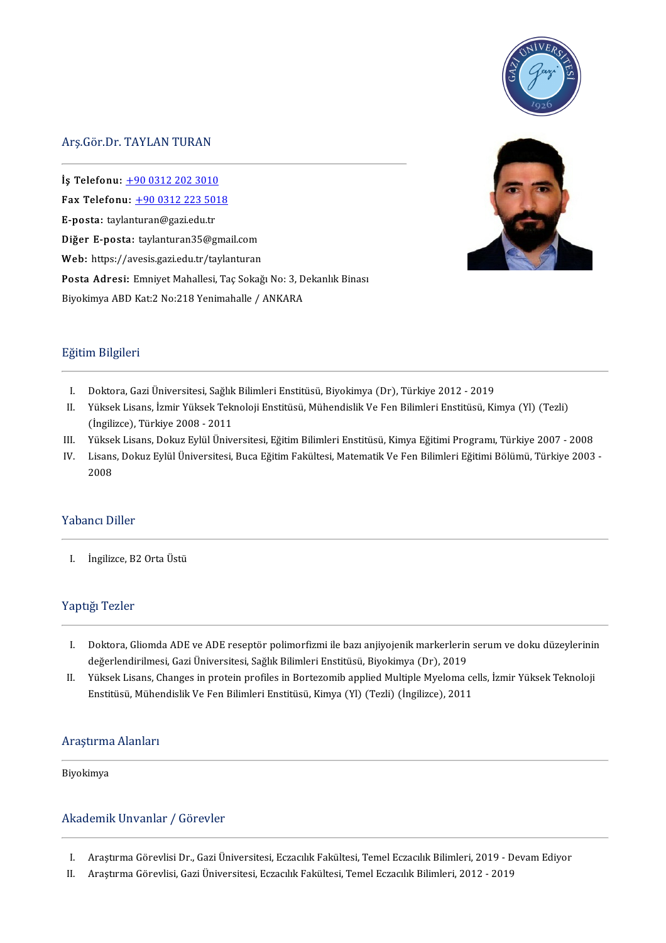

## Arş.Gör.Dr.TAYLANTURAN

Arş.Gör.Dr. TAYLAN TURAN<br>|-<br>**İş Telefonu**: <u>+90 0312 202 3010</u><br>|-—<br>İş Telefonu: <u>+90 0312 202 3010</u><br>Fax Telefonu: <u>+90 0312 223 50[18](tel:+90 0312 223 5018)</u><br>— Fax Telefonu:  $\pm 9003122235018$ <br>E-posta: taylanturan@gazi.edu.tr Fax Telefonu: <u>+90 0312 223 5018</u><br>E-posta: taylanturan@gazi.edu.tr<br>Diğer E-posta: taylanturan35@gmail.com E-posta: taylanturan@gazi.edu.tr<br>Diğer E-posta: taylanturan35@gmail.com<br>Web: https://avesis.gazi.edu.tr/taylanturan<br>-Diğer E-posta: taylanturan35@gmail.com<br>Web: https://avesis.gazi.edu.tr/taylanturan<br>Posta Adresi: Emniyet Mahallesi, Taç Sokağı No: 3, Dekanlık Binası<br>-Web: https://avesis.gazi.edu.tr/taylanturan<br><mark>Posta Adresi:</mark> Emniyet Mahallesi, Taç Sokağı No: 3, D<br>Biyokimya ABD Kat:2 No:218 Yenimahalle / ANKARA Biyokimya ABD Kat:2 No:218 Yenimahalle / ANKARA<br>Eğitim Bilgileri



- ğitim Bilgileri<br>I. Doktora, Gazi Üniversitesi, Sağlık Bilimleri Enstitüsü, Biyokimya (Dr), Türkiye 2012 2019<br>I. Wilteel: Lisane İsmir Vülsel: Telmeleji Enstitüsü, Mühandielil: Ve Een Bilimleri Enstitüsü, Vü
- I. Doktora, Gazi Üniversitesi, Sağlık Bilimleri Enstitüsü, Biyokimya (Dr), Türkiye 2012 2019<br>II. Yüksek Lisans, İzmir Yüksek Teknoloji Enstitüsü, Mühendislik Ve Fen Bilimleri Enstitüsü, Kimya (Yl) (Tezli) Doktora, Gazi Üniversitesi, Sağlık<br>Yüksek Lisans, İzmir Yüksek Tekı<br>(İngilizce), Türkiye 2008 - 2011<br><sup>Vültsek Lisans,</sup> Rahya Erlül Üniv II. Yüksek Lisans, İzmir Yüksek Teknoloji Enstitüsü, Mühendislik Ve Fen Bilimleri Enstitüsü, Kimya (Yl) (Tezli)<br>(İngilizce), Türkiye 2008 - 2011<br>III. Yüksek Lisans, Dokuz Eylül Üniversitesi, Eğitim Bilimleri Enstitüsü, Kim
- Yüksek Lisans, Dokuz Eylül Üniversitesi, Eğitim Bilimleri Enstitüsü, Kimya Eğitimi Programı, Türkiye 2007 2008
- III. Yüksek Lisans, Dokuz Eylül Üniversitesi, Eğitim Bilimleri Enstitüsü, Kimya Eğitimi Programı, Türkiye 2007 2008<br>IV. Lisans, Dokuz Eylül Üniversitesi, Buca Eğitim Fakültesi, Matematik Ve Fen Bilimleri Eğitimi Bölümü,

## Yabancı Diller

I. İngilizce,B2OrtaÜstü

## Yaptığı Tezler

- aptığı Tezler<br>I. Doktora, Gliomda ADE ve ADE reseptör polimorfizmi ile bazı anjiyojenik markerlerin serum ve doku düzeylerinin<br>doğarlandirilmesi, Gazi Üniversitesi, Soğlu Bilimleri Enstitüsü, Biyolimya (Dr.), 2019 Doktora, Gliomda ADE ve ADE reseptör polimorfizmi ile bazı anjiyojenik markerlerin<br>değerlendirilmesi, Gazi Üniversitesi, Sağlık Bilimleri Enstitüsü, Biyokimya (Dr), 2019<br>Yüksek Lisans, Changes in protein profiles in Borteg I. Doktora, Gliomda ADE ve ADE reseptör polimorfizmi ile bazı anjiyojenik markerlerin serum ve doku düzeylerinir<br>değerlendirilmesi, Gazi Üniversitesi, Sağlık Bilimleri Enstitüsü, Biyokimya (Dr), 2019<br>II. Yüksek Lisans, Cha
- değerlendirilmesi, Gazi Üniversitesi, Sağlık Bilimleri Enstitüsü, Biyokimya (Dr), 2019<br>Yüksek Lisans, Changes in protein profiles in Bortezomib applied Multiple Myeloma cells, İzmir Yüksek Teknoloji<br>Enstitüsü, Mühendislik

## Enstitüsü, Müher<br>Araştırma Alanları<br>———————————————————— Araştırma<br>Biyokimya

## Biyokimya<br>Akademik Unvanlar / Görevler

- I. Araştırma Görevlisi Dr., Gazi Üniversitesi, Eczacılık Fakültesi, Temel Eczacılık Bilimleri, 2019 Devam Ediyor<br>II. Arastırma Görevlisi, Gazi Üniversitesi, Eczacılık Fakültesi, Temel Eczacılık Bilimleri, 2012 2019
- Araştırma Görevlisi, Gazi Üniversitesi, Eczacılık Fakültesi, Temel Eczacılık Bilimleri, 2012 2019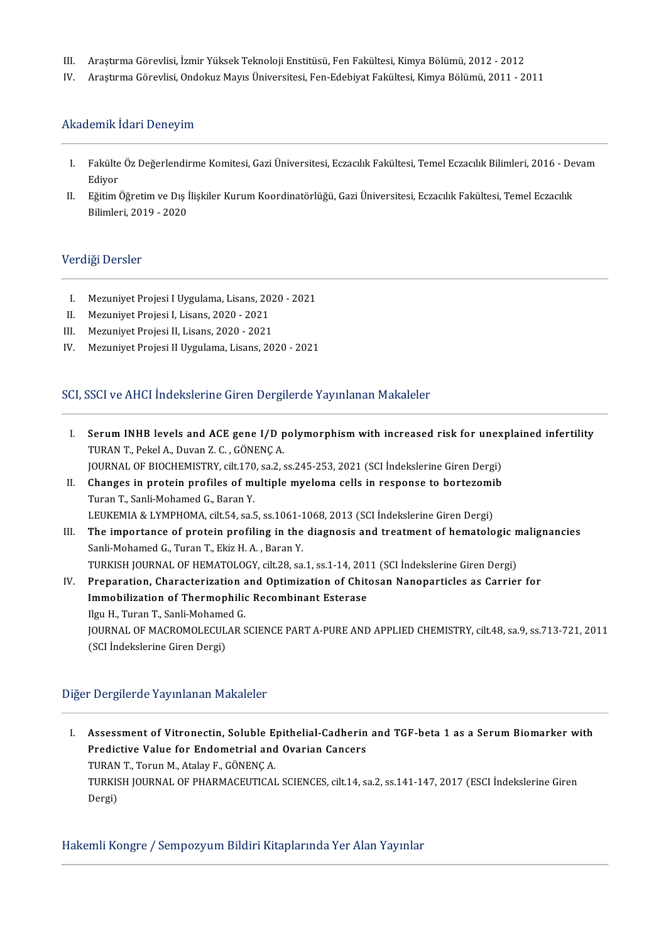- III. Araştırma Görevlisi, İzmir Yüksek Teknoloji Enstitüsü, Fen Fakültesi, Kimya Bölümü, 2012 2012<br>IV. Arastırma Görevlisi, Ondokuz Mayıs Üniversitesi, Fen-Edebiyat Fakültesi, Kimya Bölümü, 2011 2
- IV. AraştırmaGörevlisi,OndokuzMayısÜniversitesi,Fen-EdebiyatFakültesi,KimyaBölümü,2011-2011

## Akademik İdari Deneyim

- I. FakülteÖzDeğerlendirmeKomitesi,GaziÜniversitesi,EczacılıkFakültesi,TemelEczacılıkBilimleri,2016-Devam **Fakülte**<br>Ediyor<br>Eğitim f I. Fakülte Öz Değerlendirme Komitesi, Gazi Üniversitesi, Eczacılık Fakültesi, Temel Eczacılık Bilimleri, 2016 - De<br>Ediyor<br>II. Eğitim Öğretim ve Dış İlişkiler Kurum Koordinatörlüğü, Gazi Üniversitesi, Eczacılık Fakültesi, T
- Ediyor<br>Eğitim Öğretim ve Dış İ<br>Bilimleri, 2019 2020 Bilimleri, 2019 - 2020<br>Verdiği Dersler

- I. Mezuniyet Projesi I Uygulama, Lisans, 2020 2021<br>II. Mezunivet Projesi I. Lisans. 2020 2021
- II. Mezuniyet Projesi I, Lisans, 2020 2021<br>III. Mezunivet Projesi II. Lisans. 2020 2021
- III. Mezuniyet Projesi II, Lisans, 2020 2021<br>IV. Mezunivet Projesi II Uvgulama, Lisans, 20
- Mezuniyet Projesi II Uygulama, Lisans, 2020 2021

## SCI, SSCI ve AHCI İndekslerine Giren Dergilerde Yayınlanan Makaleler

- I. SerumINHB levels and ACE gene I/D polymorphismwith increased risk for unexplained infertility Serum INHB levels and ACE gene I/D p<br>TURAN T., Pekel A., Duvan Z. C. , GÖNENÇ A.<br>JOUPMAL OF PLOCHEMISTPY, silt 170, sa 3 4 Serum INHB levels and ACE gene I/D polymorphism with increased risk for unex<br>TURAN T., Pekel A., Duvan Z. C. , GÖNENÇ A.<br>JOURNAL OF BIOCHEMISTRY, cilt.170, sa.2, ss.245-253, 2021 (SCI İndekslerine Giren Dergi)<br>Changes in p TURAN T., Pekel A., Duvan Z. C. , GÖNENÇ A.<br>JOURNAL OF BIOCHEMISTRY, cilt.170, sa.2, ss.245-253, 2021 (SCI İndekslerine Giren Dergi)<br>II. Changes in protein profiles of multiple myeloma cells in response to bortezomib<br>Turen
- JOURNAL OF BIOCHEMISTRY, cilt.170<br>Changes in protein profiles of mi<br>Turan T., Sanli-Mohamed G., Baran Y.<br>LEUKEMIA & LYMPHOMA, cilt.54, co.5 Changes in protein profiles of multiple myeloma cells in response to bortezomi<br>Turan T., Sanli-Mohamed G., Baran Y.<br>LEUKEMIA & LYMPHOMA, cilt.54, sa.5, ss.1061-1068, 2013 (SCI İndekslerine Giren Dergi)<br>The impertance of pr
- Turan T., Sanli-Mohamed G., Baran Y.<br>LEUKEMIA & LYMPHOMA, cilt.54, sa.5, ss.1061-1068, 2013 (SCI Indekslerine Giren Dergi)<br>III. The importance of protein profiling in the diagnosis and treatment of hematologic malignancies LEUKEMIA & LYMPHOMA, cilt.54, sa.5, ss.1061-1<br>The importance of protein profiling in the<br>Sanli-Mohamed G., Turan T., Ekiz H. A. , Baran Y.<br>TURKISH JOURNAL OF HEMATOLOGY, silt.28, sa The importance of protein profiling in the diagnosis and treatment of hematologic n<br>Sanli-Mohamed G., Turan T., Ekiz H. A. , Baran Y.<br>TURKISH JOURNAL OF HEMATOLOGY, cilt.28, sa.1, ss.1-14, 2011 (SCI İndekslerine Giren Derg
- Sanli-Mohamed G., Turan T., Ekiz H. A. , Baran Y.<br>TURKISH JOURNAL OF HEMATOLOGY, cilt.28, sa.1, ss.1-14, 2011 (SCI İndekslerine Giren Dergi)<br>IV. Preparation, Characterization and Optimization of Chitosan Nanoparticles as C TURKISH JOURNAL OF HEMATOLOGY, cilt.28, sa.1, ss.1-14, 201<br>Preparation, Characterization and Optimization of Chit<br>Immobilization of Thermophilic Recombinant Esterase<br><sup>Ilm: H.</sup> Turar T. Sarli Mabamed C Preparation, Characterization<br>Immobilization of Thermophilio<br>Ilgu H., Turan T., Sanli-Mohamed G.<br>JOUPNAL OF MACPOMOLECULAR S I<mark>mmobilization of Thermophilic Recombinant Esterase</mark><br>Ilgu H., Turan T., Sanli-Mohamed G.<br>JOURNAL OF MACROMOLECULAR SCIENCE PART A-PURE AND APPLIED CHEMISTRY, cilt.48, sa.9, ss.713-721, 2011<br>(SCL Indekslarine Giren Dergi) Ilgu H., Turan T., Sanli-Mohame<br>JOURNAL OF MACROMOLECUL<br>(SCI İndekslerine Giren Dergi) (SCI İndekslerine Giren Dergi)<br>Diğer Dergilerde Yayınlanan Makaleler

iğer Dergilerde Yayınlanan Makaleler<br>I. Assessment of Vitronectin, Soluble Epithelial-Cadherin and TGF-beta 1 as a Serum Biomarker with<br>Predictive Value for Endematrial and Overian Cancers Assessment of Vitronectin, Soluble Epithelial-Cadherin<br>Predictive Value for Endometrial and Ovarian Cancers<br>TURAN T. Town M. Atalay E. CÖNENC A Assessment of Vitronectin, Soluble E<br>Predictive Value for Endometrial and<br>TURAN T., Torun M., Atalay F., GÖNENÇA.<br>TURKISH JOURNAL OF PHARMACEUTICAL Predictive Value for Endometrial and Ovarian Cancers<br>TURAN T., Torun M., Atalay F., GÖNENÇ A.<br>TURKISH JOURNAL OF PHARMACEUTICAL SCIENCES, cilt.14, sa.2, ss.141-147, 2017 (ESCI İndekslerine Giren<br>Dergi) TURAN T., Torun M., Atalay F., GÖNENC A.

Hakemli Kongre / Sempozyum Bildiri Kitaplarında Yer Alan Yayınlar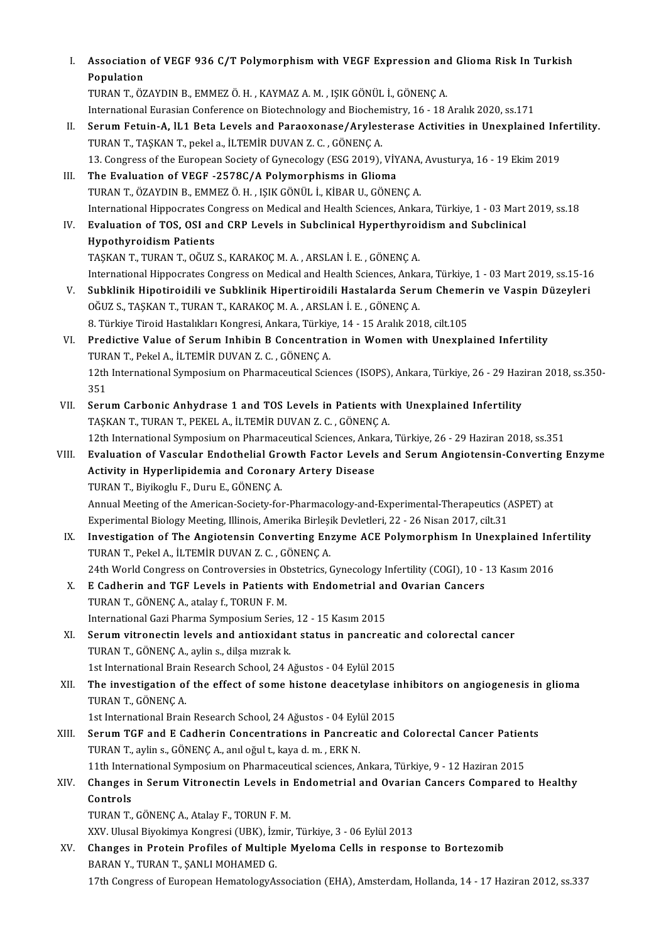| L     | Association of VEGF 936 C/T Polymorphism with VEGF Expression and Glioma Risk In Turkish<br>Population<br>TURAN T., ÖZAYDIN B., EMMEZ Ö.H., KAYMAZ A.M., IŞIK GÖNÜL İ., GÖNENC A.                   |
|-------|-----------------------------------------------------------------------------------------------------------------------------------------------------------------------------------------------------|
|       | International Eurasian Conference on Biotechnology and Biochemistry, 16 - 18 Aralık 2020, ss.171                                                                                                    |
| Н.    | Serum Fetuin-A, IL1 Beta Levels and Paraoxonase/Arylesterase Activities in Unexplained Infertility.<br>TURAN T., TAŞKAN T., pekel a., İLTEMİR DUVAN Z. C., GÖNENÇ A.                                |
|       | 13. Congress of the European Society of Gynecology (ESG 2019), VİYANA, Avusturya, 16 - 19 Ekim 2019                                                                                                 |
| III.  | The Evaluation of VEGF -2578C/A Polymorphisms in Glioma<br>TURAN T., ÖZAYDIN B., EMMEZ Ö. H., IŞIK GÖNÜL İ., KİBAR U., GÖNENÇ A.                                                                    |
| IV.   | International Hippocrates Congress on Medical and Health Sciences, Ankara, Türkiye, 1 - 03 Mart 2019, ss 18<br>Evaluation of TOS, OSI and CRP Levels in Subclinical Hyperthyroidism and Subclinical |
|       | <b>Hypothyroidism Patients</b><br>TAŞKAN T, TURAN T, OĞUZ S, KARAKOÇ M.A., ARSLAN İ.E., GÖNENÇ A.                                                                                                   |
|       | International Hippocrates Congress on Medical and Health Sciences, Ankara, Türkiye, 1 - 03 Mart 2019, ss.15-16                                                                                      |
| V.    | Subklinik Hipotiroidili ve Subklinik Hipertiroidili Hastalarda Serum Chemerin ve Vaspin Düzeyleri                                                                                                   |
|       | OĞUZ S., TAŞKAN T., TURAN T., KARAKOÇ M. A., ARSLAN İ. E., GÖNENÇ A.                                                                                                                                |
|       | 8. Türkiye Tiroid Hastalıkları Kongresi, Ankara, Türkiye, 14 - 15 Aralık 2018, cilt.105                                                                                                             |
| VI.   | Predictive Value of Serum Inhibin B Concentration in Women with Unexplained Infertility<br>TURAN T., Pekel A., İLTEMİR DUVAN Z.C., GÖNENÇ A.                                                        |
|       | 12th International Symposium on Pharmaceutical Sciences (ISOPS), Ankara, Türkiye, 26 - 29 Haziran 2018, ss.350-<br>351                                                                              |
| VII.  | Serum Carbonic Anhydrase 1 and TOS Levels in Patients with Unexplained Infertility<br>TAŞKAN T., TURAN T., PEKEL A., İLTEMİR DUVAN Z. C., GÖNENÇ A.                                                 |
|       | 12th International Symposium on Pharmaceutical Sciences, Ankara, Türkiye, 26 - 29 Haziran 2018, ss.351                                                                                              |
| VIII. | Evaluation of Vascular Endothelial Growth Factor Levels and Serum Angiotensin-Converting Enzyme                                                                                                     |
|       | Activity in Hyperlipidemia and Coronary Artery Disease<br>TURAN T., Biyikoglu F., Duru E., GÖNENÇ A.                                                                                                |
|       | Annual Meeting of the American-Society-for-Pharmacology-and-Experimental-Therapeutics (ASPET) at                                                                                                    |
|       | Experimental Biology Meeting, Illinois, Amerika Birleşik Devletleri, 22 - 26 Nisan 2017, cilt.31<br>Investigation of The Angiotensin Converting Enzyme ACE Polymorphism In Unexplained Infertility  |
| IX.   | TURAN T., Pekel A., İLTEMİR DUVAN Z. C., GÖNENÇ A.                                                                                                                                                  |
|       | 24th World Congress on Controversies in Obstetrics, Gynecology Infertility (COGI), 10 - 13 Kasım 2016                                                                                               |
| Χ.    | E Cadherin and TGF Levels in Patients with Endometrial and Ovarian Cancers<br>TURAN T., GÖNENC A., atalay f., TORUN F. M.                                                                           |
|       | International Gazi Pharma Symposium Series, 12 - 15 Kasım 2015                                                                                                                                      |
| XI.   | Serum vitronectin levels and antioxidant status in pancreatic and colorectal cancer<br>TURAN T., GÖNENÇ A., aylin s., dilşa mızrak k.                                                               |
|       | 1st International Brain Research School, 24 Ağustos - 04 Eylül 2015                                                                                                                                 |
| XII.  | The investigation of the effect of some histone deacetylase inhibitors on angiogenesis in glioma<br>TURAN T., GÖNENC A.                                                                             |
|       | 1st International Brain Research School, 24 Ağustos - 04 Eylül 2015                                                                                                                                 |
| XIII. | Serum TGF and E Cadherin Concentrations in Pancreatic and Colorectal Cancer Patients<br>TURAN T., aylin s., GÖNENÇ A., anıl oğul t., kaya d. m., ERK N.                                             |
|       | 11th International Symposium on Pharmaceutical sciences, Ankara, Türkiye, 9 - 12 Haziran 2015                                                                                                       |
| XIV.  | Changes in Serum Vitronectin Levels in Endometrial and Ovarian Cancers Compared to Healthy<br>Controls                                                                                              |
|       |                                                                                                                                                                                                     |
|       | TURAN T., GÖNENÇ A., Atalay F., TORUN F. M.                                                                                                                                                         |
| XV.   | XXV. Ulusal Biyokimya Kongresi (UBK), İzmir, Türkiye, 3 - 06 Eylül 2013<br>Changes in Protein Profiles of Multiple Myeloma Cells in response to Bortezomib                                          |
|       | BARAN Y., TURAN T., ŞANLI MOHAMED G.                                                                                                                                                                |
|       | 17th Congress of European HematologyAssociation (EHA), Amsterdam, Hollanda, 14 - 17 Haziran 2012, ss.337                                                                                            |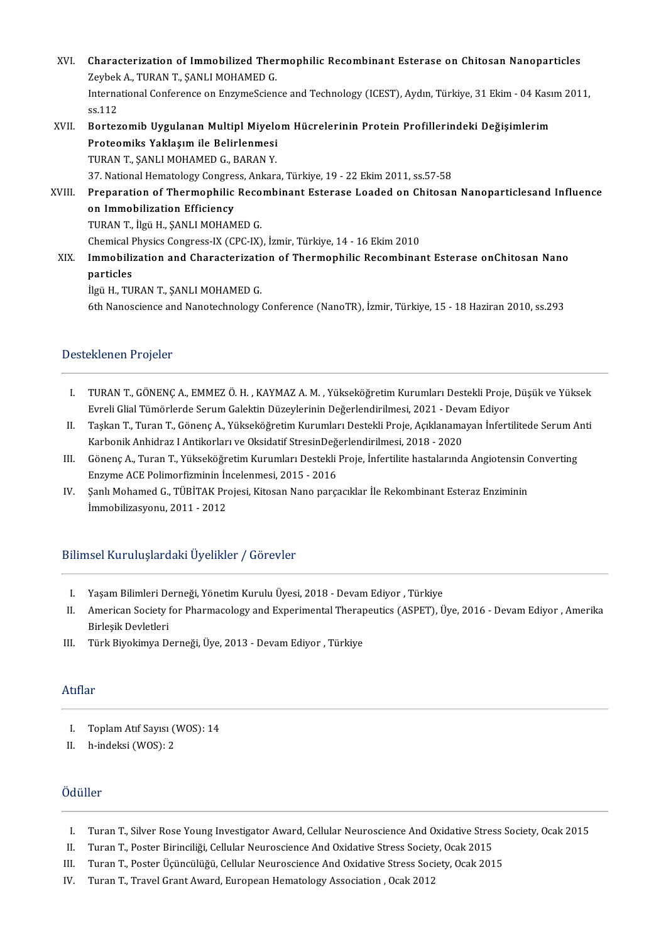- XVI. Characterization of Immobilized Thermophilic Recombinant Esterase on Chitosan Nanoparticles **Characterization of Immobilized Ther**<br>Zeybek A., TURAN T., ŞANLI MOHAMED G.<br>International Conference en EngumeScien Characterization of Immobilized Thermophilic Recombinant Esterase on Chitosan Nanoparticles<br>Zeybek A., TURAN T., ŞANLI MOHAMED G.<br>International Conference on EnzymeScience and Technology (ICEST), Aydın, Türkiye, 31 Ekim - Zeybek A., TURAN T., ŞANLI MOHAMED G.<br>International Conference on EnzymeScience and Technology (ICEST), Aydın, Türkiye, 31 Ekim - 04 Kasım 2011,<br>ss.112 International Conference on EnzymeScience and Technology (ICEST), Aydın, Türkiye, 31 Ekim - 04 Kası<br>ss.112<br>XVII. Bortezomib Uygulanan Multipl Miyelom Hücrelerinin Protein Profillerindeki Değişimlerim ss.112<br>Bortezomib Uygulanan Multipl Miyelo<br>Proteomiks Yaklaşım ile Belirlenmesi<br>TURAN T. SANLI MOHAMED G. BARAN Y Bortezomib Uygulanan Multipl Miyelo<br>Proteomiks Yaklaşım ile Belirlenmesi<br>TURAN T., ŞANLI MOHAMED G., BARAN Y.<br>27 National Hamatalagu Cangrees, Ankar Proteomiks Yaklaşım ile Belirlenmesi<br>TURAN T., ŞANLI MOHAMED G., BARAN Y.<br>37. National Hematology Congress, Ankara, Türkiye, 19 - 22 Ekim 2011, ss.57-58 TURAN T., ŞANLI MOHAMED G., BARAN Y.<br>37. National Hematology Congress, Ankara, Türkiye, 19 - 22 Ekim 2011, ss.57-58<br>XVIII. Preparation of Thermophilic Recombinant Esterase Loaded on Chitosan Nanoparticlesand Influence<br>
- 37. National Hematology Congres<br>Preparation of Thermophilic<br>on Immobilization Efficiency<br>TURAN T. Ilgü H. SANLI MOHAM Preparation of Thermophilic Reco<br>on Immobilization Efficiency<br>TURAN T., İlgü H., ŞANLI MOHAMED G.<br>Chamical Physics Congress IX (CPC IX) on Immobilization Efficiency<br>TURAN T., İlgü H., ŞANLI MOHAMED G.<br>Chemical Physics Congress-IX (CPC-IX), İzmir, Türkiye, 14 - 16 Ekim 2010 TURAN T., İlgü H., ŞANLI MOHAMED G.<br>Chemical Physics Congress-IX (CPC-IX), İzmir, Türkiye, 14 - 16 Ekim 2010<br>XIX. Immobilization and Characterization of Thermophilic Recombinant Esterase onChitosan Nano<br>nanticles
- Chemical <mark>I</mark><br>Immobili:<br>particles<br><sup>ilgü H</sup> TU Immobilization and Characterizati<br>particles<br>İlgü H., TURAN T., ŞANLI MOHAMED G.<br>Eth Nanassianse and Nanatashnelesu. particles<br>İlgü H., TURAN T., ŞANLI MOHAMED G.<br>6th Nanoscience and Nanotechnology Conference (NanoTR), İzmir, Türkiye, 15 - 18 Haziran 2010, ss.293

## Desteklenen Projeler

- esteklenen Projeler<br>I. TURAN T., GÖNENÇ A., EMMEZ Ö. H. , KAYMAZ A. M. , Yükseköğretim Kurumları Destekli Proje, Düşük ve Yüksek<br>Evreli Clial Tümörlarda Sarum Calaktin Düzeylerinin Değerlendirilmesi. 2021 Devem Ediyer TURAN T., GÖNENÇ A., EMMEZ Ö. H. , KAYMAZ A. M. , Yükseköğretim Kurumları Destekli Proje,<br>Evreli Glial Tümörlerde Serum Galektin Düzeylerinin Değerlendirilmesi, 2021 - Devam Ediyor<br>Teskan T. Turan T. Gönens A. Vükseköğreti I. TURAN T., GÖNENÇ A., EMMEZ Ö. H. , KAYMAZ A. M. , Yükseköğretim Kurumları Destekli Proje, Düşük ve Yüksek<br>Evreli Glial Tümörlerde Serum Galektin Düzeylerinin Değerlendirilmesi, 2021 - Devam Ediyor<br>II. Taşkan T., Turan T
- Evreli Glial Tümörlerde Serum Galektin Düzeylerinin Değerlendirilmesi, 2021 Deva<br>Taşkan T., Turan T., Gönenç A., Yükseköğretim Kurumları Destekli Proje, Açıklanama<br>Karbonik Anhidraz I Antikorları ve Oksidatif StresinDeğe II. Taşkan T., Turan T., Gönenç A., Yükseköğretim Kurumları Destekli Proje, Açıklanamayan İnfertilitede Serum Anti<br>Karbonik Anhidraz I Antikorları ve Oksidatif StresinDeğerlendirilmesi, 2018 - 2020<br>III. Gönenç A., Turan T. Karbonik Anhidraz I Antikorları ve Oksidatif StresinDeğerlendirilmesi, 2018 - 2020
- III. Gönenç A., Turan T., Yükseköğretim Kurumları Destekli Proje, İnfertilite hastalarında Angiotensin C<br>Enzyme ACE Polimorfizminin İncelenmesi, 2015 2016<br>IV. Şanlı Mohamed G., TÜBİTAK Projesi, Kitosan Nano parçacıklar İ
- Enzyme ACE Polimorfizminin İn<br>Şanlı Mohamed G., TÜBİTAK Pro<br>İmmobilizasyonu, 2011 2012

# İmmobilizasyonu, 2011 - 2012<br>Bilimsel Kuruluşlardaki Üyelikler / Görevler

- I. YaşamBilimleriDerneği,YönetimKuruluÜyesi,2018-DevamEdiyor ,Türkiye
- I. Yaşam Bilimleri Derneği, Yönetim Kurulu Üyesi, 2018 Devam Ediyor , Türkiye<br>II. American Society for Pharmacology and Experimental Therapeutics (ASPET), Üye, 2016 Devam Ediyor , Amerika<br>Birleşik Devletleri Yaşam Bilimleri De<br>American Society f<br>Birleşik Devletleri<br>Türk Birokimua D
- III. Türk Biyokimya Derneği, Üye, 2013 Devam Ediyor , Türkiye

## Atıflar

- tıflar<br>|-<br>|I. | Toplam Atıf Sayısı (WOS): 14<br>|- | b.indeksi (WOS): 2
- I. Toplam Atıf Sayısı ('<br>II. h-indeksi (WOS): 2 II. h-indeksi (WOS): 2<br>Ödüller

- düller<br>I. Turan T., Silver Rose Young Investigator Award, Cellular Neuroscience And Oxidative Stress Society, Ocak 2015<br>I. Turan T. Boster Birinciliği, Cellular Neuroscience And Ovidative Stress Society, Ocak 2015 I. Turan T., Silver Rose Young Investigator Award, Cellular Neuroscience And Oxidative Stres<br>II. Turan T., Poster Birinciliği, Cellular Neuroscience And Oxidative Stress Society, Ocak 2015<br>II. Turan T. Poster Üsünsülüğü, C
- 
- I. Turan T., Silver Rose Young Investigator Award, Cellular Neuroscience And Oxidative Stress S.<br>II. Turan T., Poster Birinciliği, Cellular Neuroscience And Oxidative Stress Society, Ocak 2015<br>III. Turan T., Poster Üçüncül II. Turan T., Poster Birinciliği, Cellular Neuroscience And Oxidative Stress Society, Ocak 2015<br>III. Turan T., Poster Üçüncülüğü, Cellular Neuroscience And Oxidative Stress Society, Ocak 2015<br>IV. Turan T., Travel Grant Awa
-